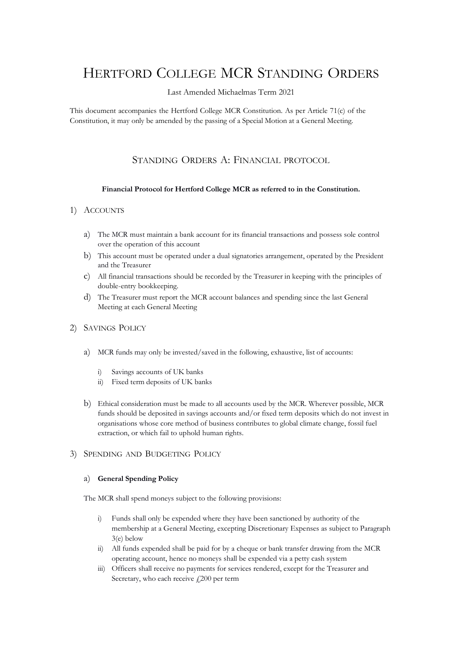# HERTFORD COLLEGE MCR STANDING ORDERS

#### Last Amended Michaelmas Term 2021

This document accompanies the Hertford College MCR Constitution. As per Article 71(c) of the Constitution, it may only be amended by the passing of a Special Motion at a General Meeting.

# STANDING ORDERS A: FINANCIAL PROTOCOL

#### **Financial Protocol for Hertford College MCR as referred to in the Constitution.**

#### 1) ACCOUNTS

- a) The MCR must maintain a bank account for its financial transactions and possess sole control over the operation of this account
- b) This account must be operated under a dual signatories arrangement, operated by the President and the Treasurer
- c) All financial transactions should be recorded by the Treasurer in keeping with the principles of double-entry bookkeeping.
- d) The Treasurer must report the MCR account balances and spending since the last General Meeting at each General Meeting

#### 2) SAVINGS POLICY

- a) MCR funds may only be invested/saved in the following, exhaustive, list of accounts:
	- i) Savings accounts of UK banks
	- ii) Fixed term deposits of UK banks
- b) Ethical consideration must be made to all accounts used by the MCR. Wherever possible, MCR funds should be deposited in savings accounts and/or fixed term deposits which do not invest in organisations whose core method of business contributes to global climate change, fossil fuel extraction, or which fail to uphold human rights.

#### 3) SPENDING AND BUDGETING POLICY

#### a) **General Spending Policy**

The MCR shall spend moneys subject to the following provisions:

- i) Funds shall only be expended where they have been sanctioned by authority of the membership at a General Meeting, excepting Discretionary Expenses as subject to Paragraph 3(e) below
- ii) All funds expended shall be paid for by a cheque or bank transfer drawing from the MCR operating account, hence no moneys shall be expended via a petty cash system
- iii) Officers shall receive no payments for services rendered, except for the Treasurer and Secretary, who each receive  $f(200)$  per term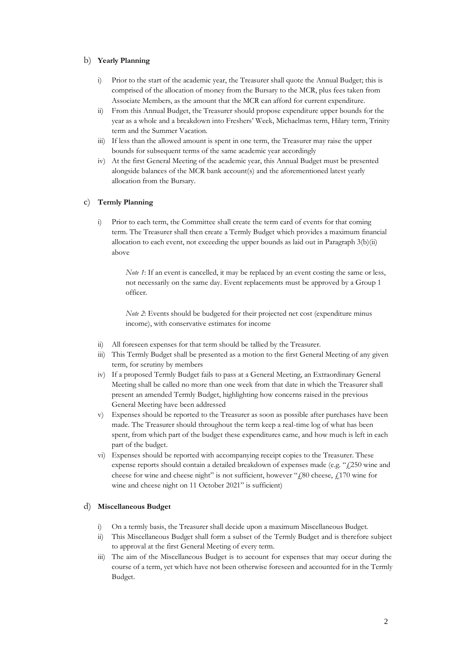#### b) **Yearly Planning**

- i) Prior to the start of the academic year, the Treasurer shall quote the Annual Budget; this is comprised of the allocation of money from the Bursary to the MCR, plus fees taken from Associate Members, as the amount that the MCR can afford for current expenditure.
- From this Annual Budget, the Treasurer should propose expenditure upper bounds for the year as a whole and a breakdown into Freshers' Week, Michaelmas term, Hilary term, Trinity term and the Summer Vacation.
- iii) If less than the allowed amount is spent in one term, the Treasurer may raise the upper bounds for subsequent terms of the same academic year accordingly
- iv) At the first General Meeting of the academic year, this Annual Budget must be presented alongside balances of the MCR bank account(s) and the aforementioned latest yearly allocation from the Bursary.

#### c) **Termly Planning**

i) Prior to each term, the Committee shall create the term card of events for that coming term. The Treasurer shall then create a Termly Budget which provides a maximum financial allocation to each event, not exceeding the upper bounds as laid out in Paragraph 3(b)(ii) above

*Note 1*: If an event is cancelled, it may be replaced by an event costing the same or less, not necessarily on the same day. Event replacements must be approved by a Group 1 officer.

*Note 2*: Events should be budgeted for their projected net cost (expenditure minus income), with conservative estimates for income

- ii) All foreseen expenses for that term should be tallied by the Treasurer.
- iii) This Termly Budget shall be presented as a motion to the first General Meeting of any given term, for scrutiny by members
- iv) If a proposed Termly Budget fails to pass at a General Meeting, an Extraordinary General Meeting shall be called no more than one week from that date in which the Treasurer shall present an amended Termly Budget, highlighting how concerns raised in the previous General Meeting have been addressed
- v) Expenses should be reported to the Treasurer as soon as possible after purchases have been made. The Treasurer should throughout the term keep a real-time log of what has been spent, from which part of the budget these expenditures came, and how much is left in each part of the budget.
- vi) Expenses should be reported with accompanying receipt copies to the Treasurer. These expense reports should contain a detailed breakdown of expenses made (e.g. " $f250$  wine and cheese for wine and cheese night" is not sufficient, however " $f_s$ 80 cheese,  $f_s$ 170 wine for wine and cheese night on 11 October 2021" is sufficient)

#### d) **Miscellaneous Budget**

- i) On a termly basis, the Treasurer shall decide upon a maximum Miscellaneous Budget.
- ii) This Miscellaneous Budget shall form a subset of the Termly Budget and is therefore subject to approval at the first General Meeting of every term.
- iii) The aim of the Miscellaneous Budget is to account for expenses that may occur during the course of a term, yet which have not been otherwise foreseen and accounted for in the Termly Budget.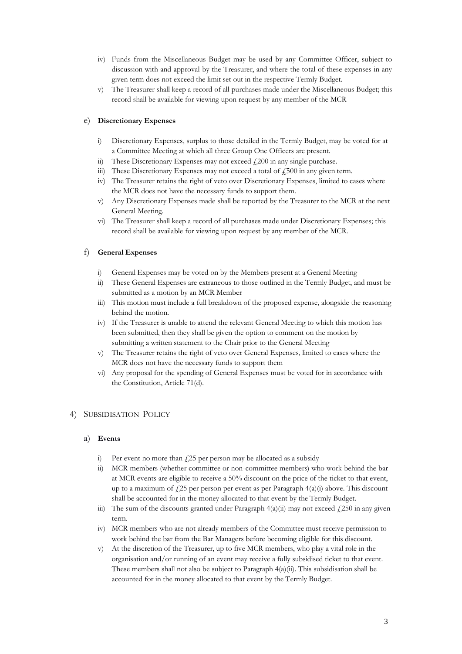- iv) Funds from the Miscellaneous Budget may be used by any Committee Officer, subject to discussion with and approval by the Treasurer, and where the total of these expenses in any given term does not exceed the limit set out in the respective Termly Budget.
- v) The Treasurer shall keep a record of all purchases made under the Miscellaneous Budget; this record shall be available for viewing upon request by any member of the MCR

#### e) **Discretionary Expenses**

- i) Discretionary Expenses, surplus to those detailed in the Termly Budget, may be voted for at a Committee Meeting at which all three Group One Officers are present.
- ii) These Discretionary Expenses may not exceed  $f200$  in any single purchase.
- iii) These Discretionary Expenses may not exceed a total of  $\ddot{\rm f}$  500 in any given term.
- iv) The Treasurer retains the right of veto over Discretionary Expenses, limited to cases where the MCR does not have the necessary funds to support them.
- v) Any Discretionary Expenses made shall be reported by the Treasurer to the MCR at the next General Meeting.
- vi) The Treasurer shall keep a record of all purchases made under Discretionary Expenses; this record shall be available for viewing upon request by any member of the MCR.

#### f) **General Expenses**

- i) General Expenses may be voted on by the Members present at a General Meeting
- ii) These General Expenses are extraneous to those outlined in the Termly Budget, and must be submitted as a motion by an MCR Member
- iii) This motion must include a full breakdown of the proposed expense, alongside the reasoning behind the motion.
- iv) If the Treasurer is unable to attend the relevant General Meeting to which this motion has been submitted, then they shall be given the option to comment on the motion by submitting a written statement to the Chair prior to the General Meeting
- v) The Treasurer retains the right of veto over General Expenses, limited to cases where the MCR does not have the necessary funds to support them
- vi) Any proposal for the spending of General Expenses must be voted for in accordance with the Constitution, Article 71(d).

## 4) SUBSIDISATION POLICY

#### a) **Events**

- i) Per event no more than  $f(25)$  per person may be allocated as a subsidy
- ii) MCR members (whether committee or non-committee members) who work behind the bar at MCR events are eligible to receive a 50% discount on the price of the ticket to that event, up to a maximum of  $\ell$ 25 per person per event as per Paragraph 4(a)(i) above. This discount shall be accounted for in the money allocated to that event by the Termly Budget.
- iii) The sum of the discounts granted under Paragraph  $4(a)(ii)$  may not exceed  $\angle 250$  in any given term.
- iv) MCR members who are not already members of the Committee must receive permission to work behind the bar from the Bar Managers before becoming eligible for this discount.
- v) At the discretion of the Treasurer, up to five MCR members, who play a vital role in the organisation and/or running of an event may receive a fully subsidised ticket to that event. These members shall not also be subject to Paragraph 4(a)(ii). This subsidisation shall be accounted for in the money allocated to that event by the Termly Budget.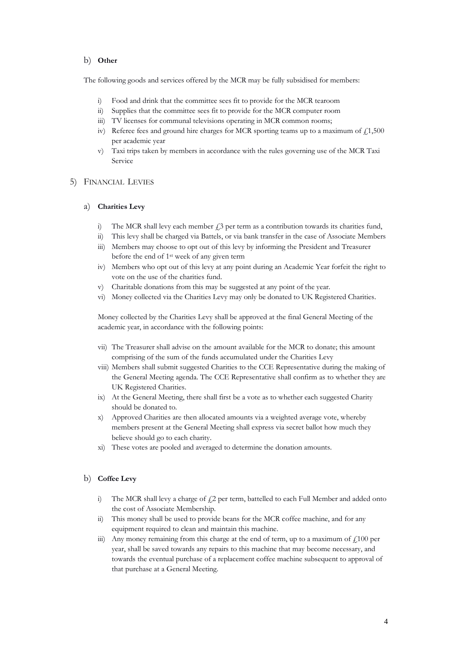#### b) **Other**

The following goods and services offered by the MCR may be fully subsidised for members:

- i) Food and drink that the committee sees fit to provide for the MCR tearoom
- ii) Supplies that the committee sees fit to provide for the MCR computer room
- iii) TV licenses for communal televisions operating in MCR common rooms;
- iv) Referee fees and ground hire charges for MCR sporting teams up to a maximum of  $\dot{\gamma}$  1,500 per academic year
- v) Taxi trips taken by members in accordance with the rules governing use of the MCR Taxi Service

#### 5) FINANCIAL LEVIES

#### a) **Charities Levy**

- i) The MCR shall levy each member  $\hat{L}$  per term as a contribution towards its charities fund,
- ii) This levy shall be charged via Battels, or via bank transfer in the case of Associate Members
- iii) Members may choose to opt out of this levy by informing the President and Treasurer before the end of 1st week of any given term
- iv) Members who opt out of this levy at any point during an Academic Year forfeit the right to vote on the use of the charities fund.
- v) Charitable donations from this may be suggested at any point of the year.
- vi) Money collected via the Charities Levy may only be donated to UK Registered Charities.

Money collected by the Charities Levy shall be approved at the final General Meeting of the academic year, in accordance with the following points:

- vii) The Treasurer shall advise on the amount available for the MCR to donate; this amount comprising of the sum of the funds accumulated under the Charities Levy
- viii) Members shall submit suggested Charities to the CCE Representative during the making of the General Meeting agenda. The CCE Representative shall confirm as to whether they are UK Registered Charities.
- ix) At the General Meeting, there shall first be a vote as to whether each suggested Charity should be donated to.
- x) Approved Charities are then allocated amounts via a weighted average vote, whereby members present at the General Meeting shall express via secret ballot how much they believe should go to each charity.
- xi) These votes are pooled and averaged to determine the donation amounts.

#### b) **Coffee Levy**

- i) The MCR shall levy a charge of  $f$ 2 per term, battelled to each Full Member and added onto the cost of Associate Membership.
- ii) This money shall be used to provide beans for the MCR coffee machine, and for any equipment required to clean and maintain this machine.
- iii) Any money remaining from this charge at the end of term, up to a maximum of  $\text{\textsterling}100$  per year, shall be saved towards any repairs to this machine that may become necessary, and towards the eventual purchase of a replacement coffee machine subsequent to approval of that purchase at a General Meeting.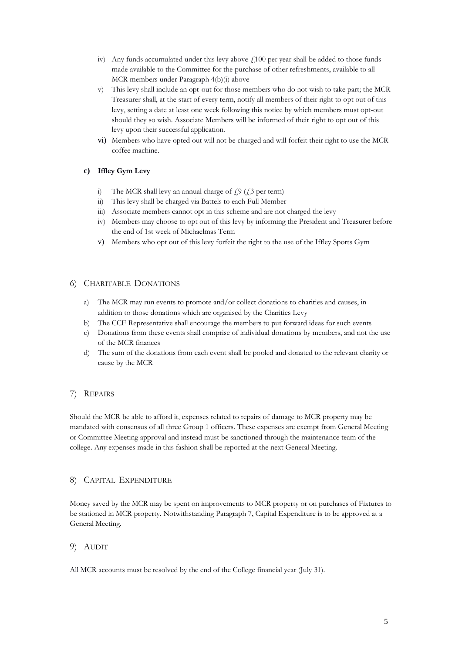- iv) Any funds accumulated under this levy above  $f_1100$  per year shall be added to those funds made available to the Committee for the purchase of other refreshments, available to all MCR members under Paragraph 4(b)(i) above
- v) This levy shall include an opt-out for those members who do not wish to take part; the MCR Treasurer shall, at the start of every term, notify all members of their right to opt out of this levy, setting a date at least one week following this notice by which members must opt-out should they so wish. Associate Members will be informed of their right to opt out of this levy upon their successful application.
- vi) Members who have opted out will not be charged and will forfeit their right to use the MCR coffee machine.

# **c) Iffley Gym Levy**

- i) The MCR shall levy an annual charge of  $f<sub>z</sub>$ ,  $g(f<sub>z</sub>)$  per term)
- ii) This levy shall be charged via Battels to each Full Member
- iii) Associate members cannot opt in this scheme and are not charged the levy
- iv) Members may choose to opt out of this levy by informing the President and Treasurer before the end of 1st week of Michaelmas Term
- v) Members who opt out of this levy forfeit the right to the use of the Iffley Sports Gym

# 6) CHARITABLE DONATIONS

- a) The MCR may run events to promote and/or collect donations to charities and causes, in addition to those donations which are organised by the Charities Levy
- b) The CCE Representative shall encourage the members to put forward ideas for such events
- c) Donations from these events shall comprise of individual donations by members, and not the use of the MCR finances
- d) The sum of the donations from each event shall be pooled and donated to the relevant charity or cause by the MCR

# 7) REPAIRS

Should the MCR be able to afford it, expenses related to repairs of damage to MCR property may be mandated with consensus of all three Group 1 officers. These expenses are exempt from General Meeting or Committee Meeting approval and instead must be sanctioned through the maintenance team of the college. Any expenses made in this fashion shall be reported at the next General Meeting.

## 8) CAPITAL EXPENDITURE

Money saved by the MCR may be spent on improvements to MCR property or on purchases of Fixtures to be stationed in MCR property. Notwithstanding Paragraph 7, Capital Expenditure is to be approved at a General Meeting.

## 9) AUDIT

All MCR accounts must be resolved by the end of the College financial year (July 31).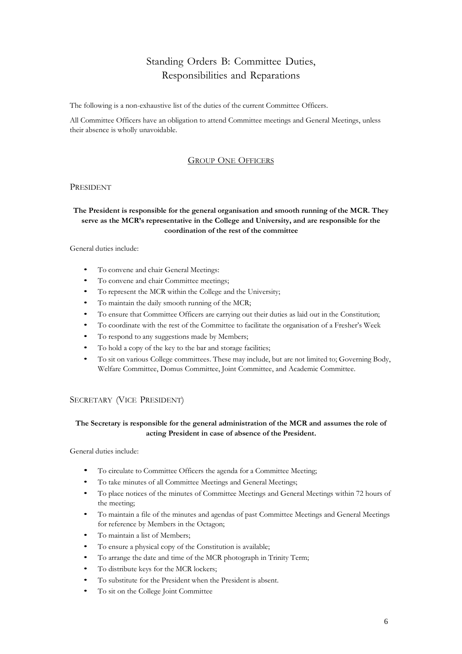# Standing Orders B: Committee Duties, Responsibilities and Reparations

The following is a non-exhaustive list of the duties of the current Committee Officers.

All Committee Officers have an obligation to attend Committee meetings and General Meetings, unless their absence is wholly unavoidable.

#### GROUP ONE OFFICERS

#### PRESIDENT

## **The President is responsible for the general organisation and smooth running of the MCR. They serve as the MCR's representative in the College and University, and are responsible for the coordination of the rest of the committee**

#### General duties include:

- To convene and chair General Meetings:
- To convene and chair Committee meetings;
- To represent the MCR within the College and the University;
- To maintain the daily smooth running of the MCR;
- To ensure that Committee Officers are carrying out their duties as laid out in the Constitution;
- To coordinate with the rest of the Committee to facilitate the organisation of a Fresher's Week
- To respond to any suggestions made by Members;
- To hold a copy of the key to the bar and storage facilities;
- To sit on various College committees. These may include, but are not limited to; Governing Body, Welfare Committee, Domus Committee, Joint Committee, and Academic Committee.

#### SECRETARY (VICE PRESIDENT)

#### **The Secretary is responsible for the general administration of the MCR and assumes the role of acting President in case of absence of the President.**

- To circulate to Committee Officers the agenda for a Committee Meeting;
- To take minutes of all Committee Meetings and General Meetings;
- To place notices of the minutes of Committee Meetings and General Meetings within 72 hours of the meeting;
- To maintain a file of the minutes and agendas of past Committee Meetings and General Meetings for reference by Members in the Octagon;
- To maintain a list of Members;
- To ensure a physical copy of the Constitution is available;
- To arrange the date and time of the MCR photograph in Trinity Term;
- To distribute keys for the MCR lockers;
- To substitute for the President when the President is absent.
- To sit on the College Joint Committee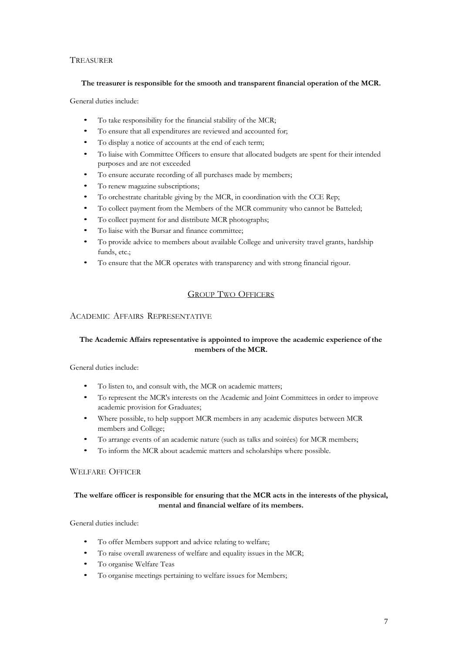# **TREASURER**

#### **The treasurer is responsible for the smooth and transparent financial operation of the MCR.**

General duties include:

- To take responsibility for the financial stability of the MCR;
- To ensure that all expenditures are reviewed and accounted for;
- To display a notice of accounts at the end of each term;
- To liaise with Committee Officers to ensure that allocated budgets are spent for their intended purposes and are not exceeded
- To ensure accurate recording of all purchases made by members;
- To renew magazine subscriptions;
- To orchestrate charitable giving by the MCR, in coordination with the CCE Rep;
- To collect payment from the Members of the MCR community who cannot be Batteled;
- To collect payment for and distribute MCR photographs;
- To liaise with the Bursar and finance committee;
- To provide advice to members about available College and university travel grants, hardship funds, etc.;
- To ensure that the MCR operates with transparency and with strong financial rigour.

# GROUP TWO OFFICERS

#### ACADEMIC AFFAIRS REPRESENTATIVE

## **The Academic Affairs representative is appointed to improve the academic experience of the members of the MCR.**

General duties include:

- To listen to, and consult with, the MCR on academic matters;
- To represent the MCR's interests on the Academic and Joint Committees in order to improve academic provision for Graduates;
- Where possible, to help support MCR members in any academic disputes between MCR members and College;
- To arrange events of an academic nature (such as talks and soirées) for MCR members;
- To inform the MCR about academic matters and scholarships where possible.

# WELFARE OFFICER

## **The welfare officer is responsible for ensuring that the MCR acts in the interests of the physical, mental and financial welfare of its members.**

- To offer Members support and advice relating to welfare;
- To raise overall awareness of welfare and equality issues in the MCR;
- To organise Welfare Teas
- To organise meetings pertaining to welfare issues for Members;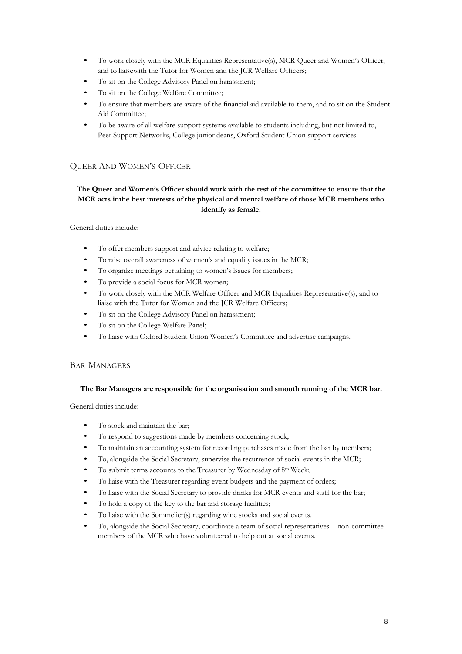- To work closely with the MCR Equalities Representative(s), MCR Queer and Women's Officer, and to liaisewith the Tutor for Women and the JCR Welfare Officers;
- To sit on the College Advisory Panel on harassment;
- To sit on the College Welfare Committee;
- To ensure that members are aware of the financial aid available to them, and to sit on the Student Aid Committee;
- To be aware of all welfare support systems available to students including, but not limited to, Peer Support Networks, College junior deans, Oxford Student Union support services.

# QUEER AND WOMEN'S OFFICER

## **The Queer and Women's Officer should work with the rest of the committee to ensure that the MCR acts inthe best interests of the physical and mental welfare of those MCR members who identify as female.**

General duties include:

- To offer members support and advice relating to welfare;
- To raise overall awareness of women's and equality issues in the MCR;
- To organize meetings pertaining to women's issues for members;
- To provide a social focus for MCR women;
- To work closely with the MCR Welfare Officer and MCR Equalities Representative(s), and to liaise with the Tutor for Women and the JCR Welfare Officers;
- To sit on the College Advisory Panel on harassment;
- To sit on the College Welfare Panel;
- To liaise with Oxford Student Union Women's Committee and advertise campaigns.

#### BAR MANAGERS

#### **The Bar Managers are responsible for the organisation and smooth running of the MCR bar.**

- To stock and maintain the bar;
- To respond to suggestions made by members concerning stock;
- To maintain an accounting system for recording purchases made from the bar by members;
- To, alongside the Social Secretary, supervise the recurrence of social events in the MCR;
- To submit terms accounts to the Treasurer by Wednesday of 8<sup>th</sup> Week;
- To liaise with the Treasurer regarding event budgets and the payment of orders;
- To liaise with the Social Secretary to provide drinks for MCR events and staff for the bar;
- To hold a copy of the key to the bar and storage facilities;
- To liaise with the Sommelier(s) regarding wine stocks and social events.
- To, alongside the Social Secretary, coordinate a team of social representatives non-committee members of the MCR who have volunteered to help out at social events.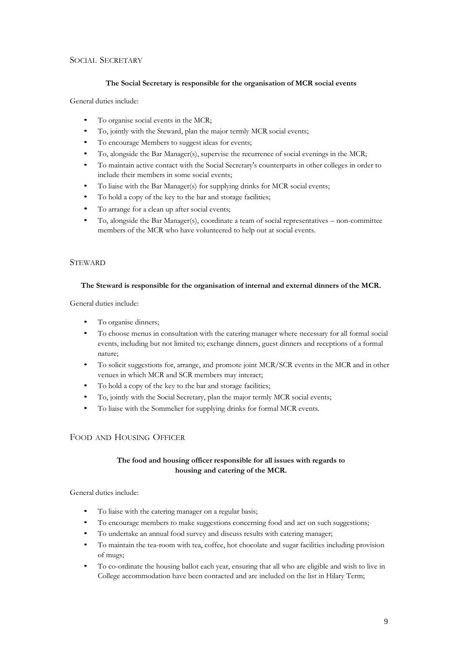## SOCIAL SECRETARY

#### **The Social Secretary is responsible for the organisation of MCR social events**

General duties include:

- To organise social events in the MCR;
- To, jointly with the Steward, plan the major termly MCR social events;
- To encourage Members to suggest ideas for events;
- To, alongside the Bar Manager(s), supervise the recurrence of social evenings in the MCR;
- To maintain active contact with the Social Secretary's counterparts in other colleges in order to include their members in some social events;
- To liaise with the Bar Manager(s) for supplying drinks for MCR social events;
- To hold a copy of the key to the bar and storage facilities;
- To arrange for a clean up after social events;
- To, alongside the Bar Manager(s), coordinate a team of social representatives non-committee members of the MCR who have volunteered to help out at social events.

#### **STEWARD**

#### **The Steward is responsible for the organisation of internal and external dinners of the MCR.**

General duties include:

- To organise dinners;
- To choose menus in consultation with the catering manager where necessary for all formal social events, including but not limited to; exchange dinners, guest dinners and receptions of a formal nature;
- To solicit suggestions for, arrange, and promote joint MCR/SCR events in the MCR and in other venues in which MCR and SCR members may interact;
- To hold a copy of the key to the bar and storage facilities;
- To, jointly with the Social Secretary, plan the major termly MCR social events;
- To liaise with the Sommelier for supplying drinks for formal MCR events.

## FOOD AND HOUSING OFFICER

# **The food and housing officer responsible for all issues with regards to housing and catering of the MCR.**

- To liaise with the catering manager on a regular basis;
- To encourage members to make suggestions concerning food and act on such suggestions;
- To undertake an annual food survey and discuss results with catering manager;
- To maintain the tea-room with tea, coffee, hot chocolate and sugar facilities including provision of mugs;
- To co-ordinate the housing ballot each year, ensuring that all who are eligible and wish to live in College accommodation have been contacted and are included on the list in Hilary Term;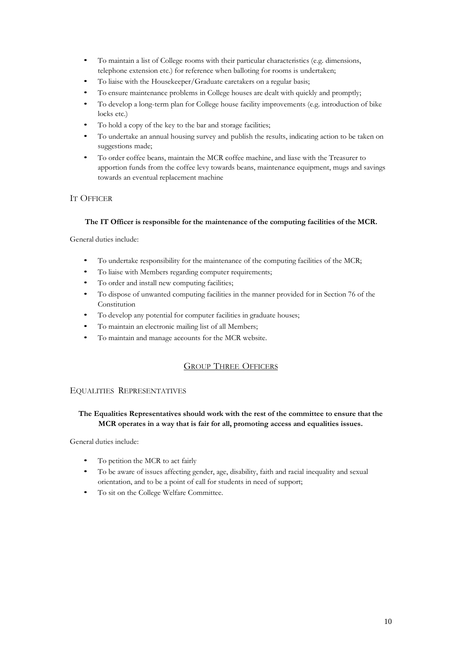- To maintain a list of College rooms with their particular characteristics (e.g. dimensions, telephone extension etc.) for reference when balloting for rooms is undertaken;
- To liaise with the Housekeeper/Graduate caretakers on a regular basis;
- To ensure maintenance problems in College houses are dealt with quickly and promptly;
- To develop a long-term plan for College house facility improvements (e.g. introduction of bike locks etc.)
- To hold a copy of the key to the bar and storage facilities;
- To undertake an annual housing survey and publish the results, indicating action to be taken on suggestions made;
- To order coffee beans, maintain the MCR coffee machine, and liase with the Treasurer to apportion funds from the coffee levy towards beans, maintenance equipment, mugs and savings towards an eventual replacement machine

# IT OFFICER

## **The IT Officer is responsible for the maintenance of the computing facilities of the MCR.**

General duties include:

- To undertake responsibility for the maintenance of the computing facilities of the MCR;
- To liaise with Members regarding computer requirements;
- To order and install new computing facilities;
- To dispose of unwanted computing facilities in the manner provided for in Section 76 of the Constitution
- To develop any potential for computer facilities in graduate houses;
- To maintain an electronic mailing list of all Members;
- To maintain and manage accounts for the MCR website.

# GROUP THREE OFFICERS

## EQUALITIES REPRESENTATIVES

## **The Equalities Representatives should work with the rest of the committee to ensure that the MCR operates in a way that is fair for all, promoting access and equalities issues.**

- To petition the MCR to act fairly
- To be aware of issues affecting gender, age, disability, faith and racial inequality and sexual orientation, and to be a point of call for students in need of support;
- To sit on the College Welfare Committee.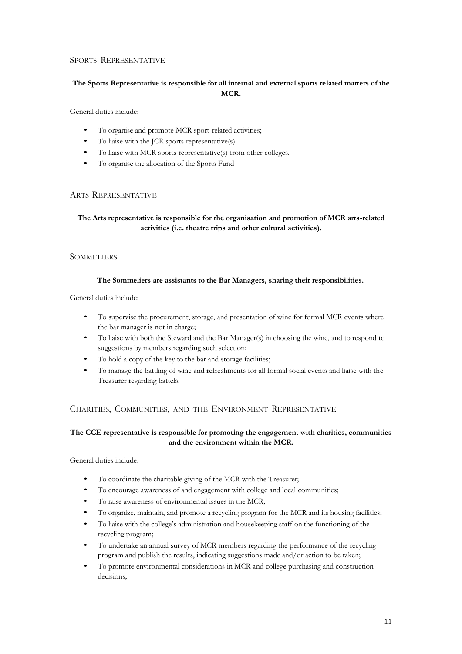## SPORTS REPRESENTATIVE

# **The Sports Representative is responsible for all internal and external sports related matters of the MCR.**

General duties include:

- To organise and promote MCR sport-related activities;
- To liaise with the JCR sports representative(s)
- To liaise with MCR sports representative(s) from other colleges.
- To organise the allocation of the Sports Fund

#### ARTS REPRESENTATIVE

# **The Arts representative is responsible for the organisation and promotion of MCR arts-related activities (i.e. theatre trips and other cultural activities).**

#### **SOMMELIERS**

#### **The Sommeliers are assistants to the Bar Managers, sharing their responsibilities.**

#### General duties include:

- To supervise the procurement, storage, and presentation of wine for formal MCR events where the bar manager is not in charge;
- To liaise with both the Steward and the Bar Manager(s) in choosing the wine, and to respond to suggestions by members regarding such selection;
- To hold a copy of the key to the bar and storage facilities;
- To manage the battling of wine and refreshments for all formal social events and liaise with the Treasurer regarding battels.

## CHARITIES, COMMUNITIES, AND THE ENVIRONMENT REPRESENTATIVE

## **The CCE representative is responsible for promoting the engagement with charities, communities and the environment within the MCR.**

- To coordinate the charitable giving of the MCR with the Treasurer;
- To encourage awareness of and engagement with college and local communities;
- To raise awareness of environmental issues in the MCR;
- To organize, maintain, and promote a recycling program for the MCR and its housing facilities;
- To liaise with the college's administration and housekeeping staff on the functioning of the recycling program;
- To undertake an annual survey of MCR members regarding the performance of the recycling program and publish the results, indicating suggestions made and/or action to be taken;
- To promote environmental considerations in MCR and college purchasing and construction decisions;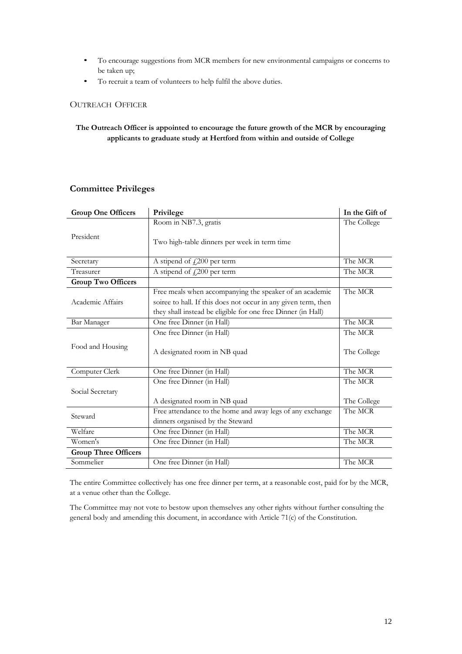- To encourage suggestions from MCR members for new environmental campaigns or concerns to be taken up;
- To recruit a team of volunteers to help fulfil the above duties.

# OUTREACH OFFICER

#### **The Outreach Officer is appointed to encourage the future growth of the MCR by encouraging applicants to graduate study at Hertford from within and outside of College**

# **Committee Privileges**

| <b>Group One Officers</b>              | Privilege                                                                                                                                                                                            | In the Gift of |
|----------------------------------------|------------------------------------------------------------------------------------------------------------------------------------------------------------------------------------------------------|----------------|
|                                        | Room in NB7.3, gratis                                                                                                                                                                                | The College    |
| President                              | Two high-table dinners per week in term time                                                                                                                                                         |                |
| Secretary                              | A stipend of $f_{\rm s}$ 200 per term                                                                                                                                                                | The MCR        |
| Treasurer                              | A stipend of $\text{\textsterling}200$ per term                                                                                                                                                      | The MCR        |
| <b>Group Two Officers</b>              |                                                                                                                                                                                                      |                |
| Academic Affairs                       | Free meals when accompanying the speaker of an academic<br>The MCR<br>soiree to hall. If this does not occur in any given term, then<br>they shall instead be eligible for one free Dinner (in Hall) |                |
| Bar Manager                            | One free Dinner (in Hall)                                                                                                                                                                            | The MCR        |
| Food and Housing                       | One free Dinner (in Hall)                                                                                                                                                                            | The MCR        |
|                                        | A designated room in NB quad                                                                                                                                                                         | The College    |
| Computer Clerk                         | One free Dinner (in Hall)                                                                                                                                                                            | The MCR        |
|                                        | One free Dinner (in Hall)                                                                                                                                                                            | The MCR        |
| Social Secretary                       | A designated room in NB quad                                                                                                                                                                         | The College    |
| Steward                                | Free attendance to the home and away legs of any exchange<br>dinners organised by the Steward                                                                                                        | The MCR        |
| Welfare                                | One free Dinner (in Hall)                                                                                                                                                                            |                |
| Women's                                | One free Dinner (in Hall)                                                                                                                                                                            |                |
| <b>Group Three Officers</b>            |                                                                                                                                                                                                      |                |
| Sommelier<br>One free Dinner (in Hall) |                                                                                                                                                                                                      | The MCR        |

The entire Committee collectively has one free dinner per term, at a reasonable cost, paid for by the MCR, at a venue other than the College.

The Committee may not vote to bestow upon themselves any other rights without further consulting the general body and amending this document, in accordance with Article 71(c) of the Constitution.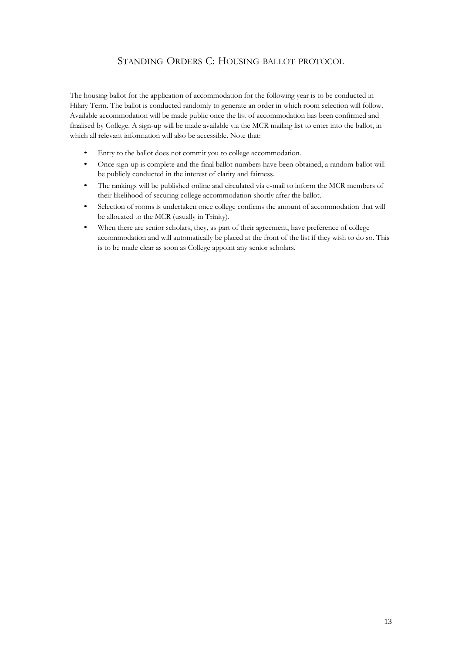# STANDING ORDERS C: HOUSING BALLOT PROTOCOL

The housing ballot for the application of accommodation for the following year is to be conducted in Hilary Term. The ballot is conducted randomly to generate an order in which room selection will follow. Available accommodation will be made public once the list of accommodation has been confirmed and finalised by College. A sign-up will be made available via the MCR mailing list to enter into the ballot, in which all relevant information will also be accessible. Note that:

- Entry to the ballot does not commit you to college accommodation.
- Once sign-up is complete and the final ballot numbers have been obtained, a random ballot will be publicly conducted in the interest of clarity and fairness.
- The rankings will be published online and circulated via e-mail to inform the MCR members of their likelihood of securing college accommodation shortly after the ballot.
- Selection of rooms is undertaken once college confirms the amount of accommodation that will be allocated to the MCR (usually in Trinity).
- When there are senior scholars, they, as part of their agreement, have preference of college accommodation and will automatically be placed at the front of the list if they wish to do so. This is to be made clear as soon as College appoint any senior scholars.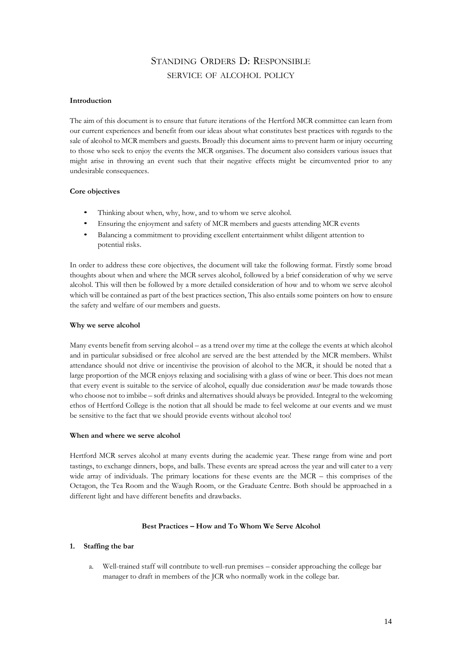# STANDING ORDERS D: RESPONSIBLE SERVICE OF ALCOHOL POLICY

#### **Introduction**

The aim of this document is to ensure that future iterations of the Hertford MCR committee can learn from our current experiences and benefit from our ideas about what constitutes best practices with regards to the sale of alcohol to MCR members and guests. Broadly this document aims to prevent harm or injury occurring to those who seek to enjoy the events the MCR organises. The document also considers various issues that might arise in throwing an event such that their negative effects might be circumvented prior to any undesirable consequences.

#### **Core objectives**

- Thinking about when, why, how, and to whom we serve alcohol.
- Ensuring the enjoyment and safety of MCR members and guests attending MCR events
- Balancing a commitment to providing excellent entertainment whilst diligent attention to potential risks.

In order to address these core objectives, the document will take the following format. Firstly some broad thoughts about when and where the MCR serves alcohol, followed by a brief consideration of why we serve alcohol. This will then be followed by a more detailed consideration of how and to whom we serve alcohol which will be contained as part of the best practices section, This also entails some pointers on how to ensure the safety and welfare of our members and guests.

#### **Why we serve alcohol**

Many events benefit from serving alcohol – as a trend over my time at the college the events at which alcohol and in particular subsidised or free alcohol are served are the best attended by the MCR members. Whilst attendance should not drive or incentivise the provision of alcohol to the MCR, it should be noted that a large proportion of the MCR enjoys relaxing and socialising with a glass of wine or beer. This does not mean that every event is suitable to the service of alcohol, equally due consideration *must* be made towards those who choose not to imbibe – soft drinks and alternatives should always be provided. Integral to the welcoming ethos of Hertford College is the notion that all should be made to feel welcome at our events and we must be sensitive to the fact that we should provide events without alcohol too!

#### **When and where we serve alcohol**

Hertford MCR serves alcohol at many events during the academic year. These range from wine and port tastings, to exchange dinners, bops, and balls. These events are spread across the year and will cater to a very wide array of individuals. The primary locations for these events are the MCR – this comprises of the Octagon, the Tea Room and the Waugh Room, or the Graduate Centre. Both should be approached in a different light and have different benefits and drawbacks.

#### **Best Practices – How and To Whom We Serve Alcohol**

#### **1. Staffing the bar**

a. Well-trained staff will contribute to well-run premises – consider approaching the college bar manager to draft in members of the JCR who normally work in the college bar.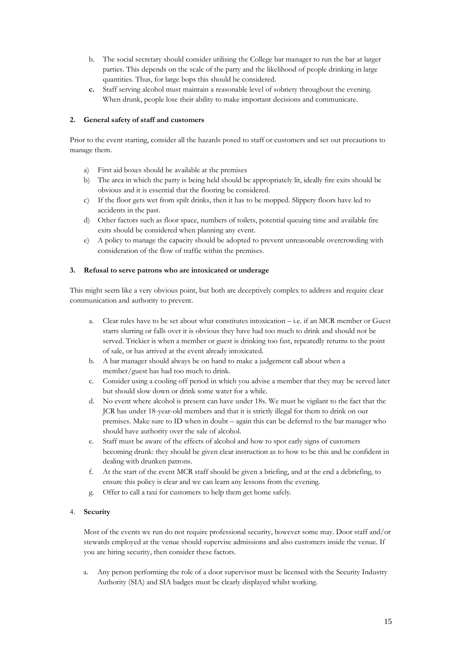- b. The social secretary should consider utilising the College bar manager to run the bar at larger parties. This depends on the scale of the party and the likelihood of people drinking in large quantities. Thus, for large bops this should be considered.
- **c.** Staff serving alcohol must maintain a reasonable level of sobriety throughout the evening. When drunk, people lose their ability to make important decisions and communicate.

#### **2. General safety of staff and customers**

Prior to the event starting, consider all the hazards posed to staff or customers and set out precautions to manage them.

- a) First aid boxes should be available at the premises
- b) The area in which the party is being held should be appropriately lit, ideally fire exits should be obvious and it is essential that the flooring be considered.
- c) If the floor gets wet from spilt drinks, then it has to be mopped. Slippery floors have led to accidents in the past.
- d) Other factors such as floor space, numbers of toilets, potential queuing time and available fire exits should be considered when planning any event.
- e) A policy to manage the capacity should be adopted to prevent unreasonable overcrowding with consideration of the flow of traffic within the premises.

#### **3. Refusal to serve patrons who are intoxicated or underage**

This might seem like a very obvious point, but both are deceptively complex to address and require clear communication and authority to prevent.

- a. Clear rules have to be set about what constitutes intoxication i.e. if an MCR member or Guest starts slurring or falls over it is obvious they have had too much to drink and should not be served. Trickier is when a member or guest is drinking too fast, repeatedly returns to the point of sale, or has arrived at the event already intoxicated.
- b. A bar manager should always be on hand to make a judgement call about when a member/guest has had too much to drink.
- c. Consider using a cooling off period in which you advise a member that they may be served later but should slow down or drink some water for a while.
- d. No event where alcohol is present can have under 18s. We must be vigilant to the fact that the JCR has under 18-year-old members and that it is strictly illegal for them to drink on our premises. Make sure to ID when in doubt – again this can be deferred to the bar manager who should have authority over the sale of alcohol.
- e. Staff must be aware of the effects of alcohol and how to spot early signs of customers becoming drunk: they should be given clear instruction as to how to be this and be confident in dealing with drunken patrons.
- f. At the start of the event MCR staff should be given a briefing, and at the end a debriefing, to ensure this policy is clear and we can learn any lessons from the evening.
- g. Offer to call a taxi for customers to help them get home safely.

#### 4. **Security**

Most of the events we run do not require professional security, however some may. Door staff and/or stewards employed at the venue should supervise admissions and also customers inside the venue. If you are hiring security, then consider these factors.

a. Any person performing the role of a door supervisor must be licensed with the Security Industry Authority (SIA) and SIA badges must be clearly displayed whilst working.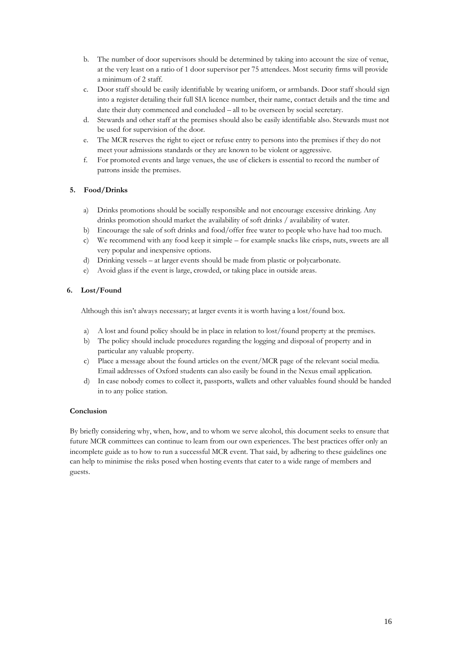- b. The number of door supervisors should be determined by taking into account the size of venue, at the very least on a ratio of 1 door supervisor per 75 attendees. Most security firms will provide a minimum of 2 staff.
- c. Door staff should be easily identifiable by wearing uniform, or armbands. Door staff should sign into a register detailing their full SIA licence number, their name, contact details and the time and date their duty commenced and concluded – all to be overseen by social secretary.
- d. Stewards and other staff at the premises should also be easily identifiable also. Stewards must not be used for supervision of the door.
- e. The MCR reserves the right to eject or refuse entry to persons into the premises if they do not meet your admissions standards or they are known to be violent or aggressive.
- f. For promoted events and large venues, the use of clickers is essential to record the number of patrons inside the premises.

#### **5. Food/Drinks**

- a) Drinks promotions should be socially responsible and not encourage excessive drinking. Any drinks promotion should market the availability of soft drinks / availability of water.
- b) Encourage the sale of soft drinks and food/offer free water to people who have had too much.
- c) We recommend with any food keep it simple for example snacks like crisps, nuts, sweets are all very popular and inexpensive options.
- d) Drinking vessels at larger events should be made from plastic or polycarbonate.
- e) Avoid glass if the event is large, crowded, or taking place in outside areas.

#### **6. Lost/Found**

Although this isn't always necessary; at larger events it is worth having a lost/found box.

- a) A lost and found policy should be in place in relation to lost/found property at the premises.
- b) The policy should include procedures regarding the logging and disposal of property and in particular any valuable property.
- c) Place a message about the found articles on the event/MCR page of the relevant social media. Email addresses of Oxford students can also easily be found in the Nexus email application.
- d) In case nobody comes to collect it, passports, wallets and other valuables found should be handed in to any police station.

## **Conclusion**

By briefly considering why, when, how, and to whom we serve alcohol, this document seeks to ensure that future MCR committees can continue to learn from our own experiences. The best practices offer only an incomplete guide as to how to run a successful MCR event. That said, by adhering to these guidelines one can help to minimise the risks posed when hosting events that cater to a wide range of members and guests.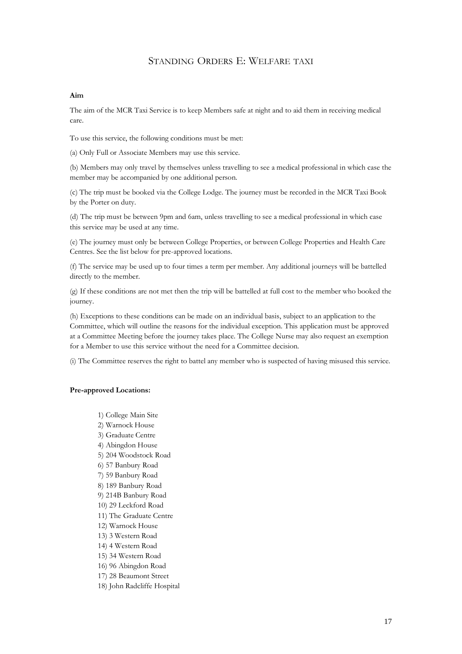# STANDING ORDERS E: WELFARE TAXI

#### **Aim**

The aim of the MCR Taxi Service is to keep Members safe at night and to aid them in receiving medical care.

To use this service, the following conditions must be met:

(a) Only Full or Associate Members may use this service.

(b) Members may only travel by themselves unless travelling to see a medical professional in which case the member may be accompanied by one additional person.

(c) The trip must be booked via the College Lodge. The journey must be recorded in the MCR Taxi Book by the Porter on duty.

(d) The trip must be between 9pm and 6am, unless travelling to see a medical professional in which case this service may be used at any time.

(e) The journey must only be between College Properties, or between College Properties and Health Care Centres. See the list below for pre-approved locations.

(f) The service may be used up to four times a term per member. Any additional journeys will be battelled directly to the member.

(g) If these conditions are not met then the trip will be battelled at full cost to the member who booked the journey.

(h) Exceptions to these conditions can be made on an individual basis, subject to an application to the Committee, which will outline the reasons for the individual exception. This application must be approved at a Committee Meeting before the journey takes place. The College Nurse may also request an exemption for a Member to use this service without the need for a Committee decision.

(i) The Committee reserves the right to battel any member who is suspected of having misused this service.

#### **Pre-approved Locations:**

1) College Main Site 2) Warnock House 3) Graduate Centre 4) Abingdon House 5) 204 Woodstock Road 6) 57 [Banbury](http://www.hertford.ox.ac.uk/accommodation/college-properties/north-oxford-annexes/57-banbury-road) Road 7) 59 [Banbury](http://www.hertford.ox.ac.uk/accommodation/college-properties/north-oxford-annexes/59-banbury-road) Road 8) 189 [Banbury](http://www.hertford.ox.ac.uk/accommodation/college-properties/north-oxford-annexes/189-banbury-road) Road 9) 214B [Banbury](http://www.hertford.ox.ac.uk/accommodation/college-properties/north-oxford-annexes/214b-banbury-road) Road 10) 29 [Leckford](http://www.hertford.ox.ac.uk/accommodation/college-properties/north-oxford-annexes/29-leckford-road) Road 11) The [Graduate](http://www.hertford.ox.ac.uk/accommodation/college-properties/south-oxford-annexes/the-graduate-centre) Centre 12) [Warnock](http://www.hertford.ox.ac.uk/accommodation/college-properties/south-oxford-annexes/warnock-house) House 13) 3 [Western](http://www.hertford.ox.ac.uk/accommodation/college-properties/south-oxford-annexes/3-western-road) Road 14) 4 [Western](http://www.hertford.ox.ac.uk/accommodation/college-properties/south-oxford-annexes/4-western-road) Road 15) 34 Western Road 16) 96 [Abingdon](http://www.hertford.ox.ac.uk/accommodation/college-properties/south-oxford-annexes/96-abingdon-road) Road 17) 28 Beaumont Street 18) John Radcliffe Hospital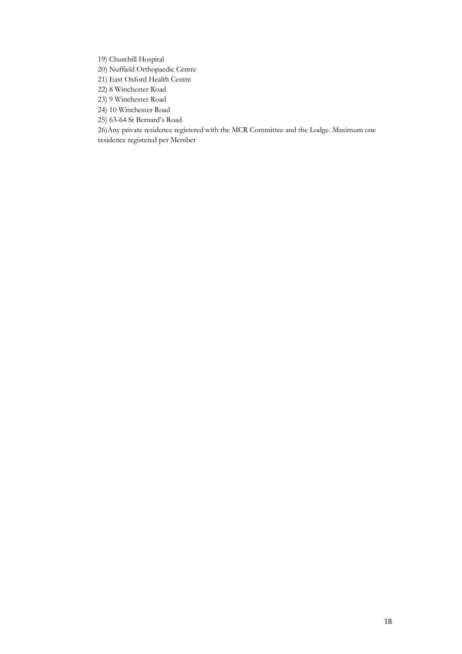19) Churchill Hospital

20) Nuffield Orthopaedic Centre

21) East Oxford Health Centre

- 22) 8 Winchester Road
- 23) 9 Winchester Road
- 24) 10 Winchester Road
- 25) 63-64 St Bernard's Road

26)Any private residence registered with the MCR Committee and the Lodge. Maximum one residence registered per Member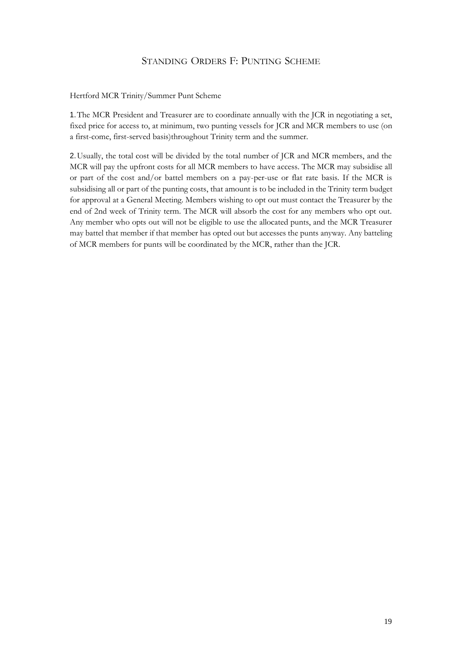# STANDING ORDERS F: PUNTING SCHEME

## Hertford MCR Trinity/Summer Punt Scheme

1.The MCR President and Treasurer are to coordinate annually with the JCR in negotiating a set, fixed price for access to, at minimum, two punting vessels for JCR and MCR members to use (on a first-come, first-served basis)throughout Trinity term and the summer.

2.Usually, the total cost will be divided by the total number of JCR and MCR members, and the MCR will pay the upfront costs for all MCR members to have access. The MCR may subsidise all or part of the cost and/or battel members on a pay-per-use or flat rate basis. If the MCR is subsidising all or part of the punting costs, that amount is to be included in the Trinity term budget for approval at a General Meeting. Members wishing to opt out must contact the Treasurer by the end of 2nd week of Trinity term. The MCR will absorb the cost for any members who opt out. Any member who opts out will not be eligible to use the allocated punts, and the MCR Treasurer may battel that member if that member has opted out but accesses the punts anyway. Any batteling of MCR members for punts will be coordinated by the MCR, rather than the JCR.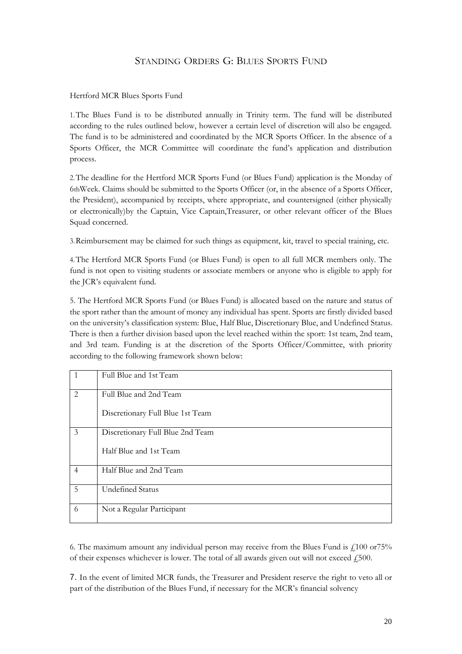# STANDING ORDERS G: BLUES SPORTS FUND

# Hertford MCR Blues Sports Fund

1.The Blues Fund is to be distributed annually in Trinity term. The fund will be distributed according to the rules outlined below, however a certain level of discretion will also be engaged. The fund is to be administered and coordinated by the MCR Sports Officer. In the absence of a Sports Officer, the MCR Committee will coordinate the fund's application and distribution process.

2.The deadline for the Hertford MCR Sports Fund (or Blues Fund) application is the Monday of 6thWeek. Claims should be submitted to the Sports Officer (or, in the absence of a Sports Officer, the President), accompanied by receipts, where appropriate, and countersigned (either physically or electronically)by the Captain, Vice Captain,Treasurer, or other relevant officer of the Blues Squad concerned.

3.Reimbursement may be claimed for such things as equipment, kit, travel to special training, etc.

4.The Hertford MCR Sports Fund (or Blues Fund) is open to all full MCR members only. The fund is not open to visiting students or associate members or anyone who is eligible to apply for the JCR's equivalent fund.

5. The Hertford MCR Sports Fund (or Blues Fund) is allocated based on the nature and status of the sport rather than the amount of money any individual has spent. Sports are firstly divided based on the university's classification system: Blue, Half Blue, Discretionary Blue, and Undefined Status. There is then a further division based upon the level reached within the sport: 1st team, 2nd team, and 3rd team. Funding is at the discretion of the Sports Officer/Committee, with priority according to the following framework shown below:

|                | Full Blue and 1st Team           |
|----------------|----------------------------------|
| 2              | Full Blue and 2nd Team           |
|                | Discretionary Full Blue 1st Team |
| 3              | Discretionary Full Blue 2nd Team |
|                | Half Blue and 1st Team           |
| $\overline{4}$ | Half Blue and 2nd Team           |
| 5              | <b>Undefined Status</b>          |
| 6              | Not a Regular Participant        |

6. The maximum amount any individual person may receive from the Blues Fund is £100 or75% of their expenses whichever is lower. The total of all awards given out will not exceed  $\ell$ 500.

7. In the event of limited MCR funds, the Treasurer and President reserve the right to veto all or part of the distribution of the Blues Fund, if necessary for the MCR's financial solvency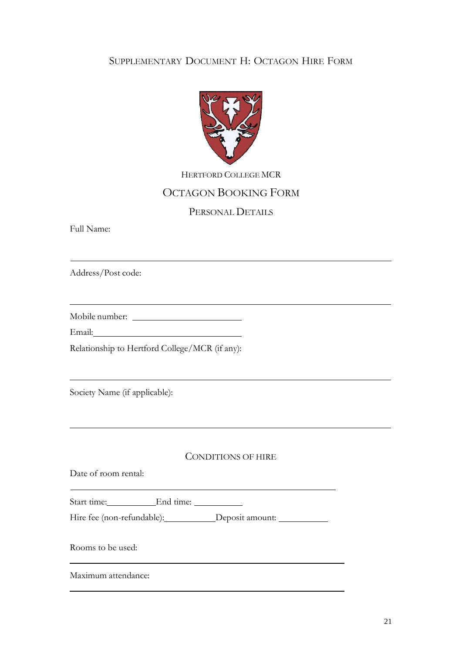# SUPPLEMENTARY DOCUMENT H: OCTAGON HIRE FORM



HERTFORD COLLEGE MCR

# OCTAGON BOOKING FORM

# PERSONAL DETAILS

<u> 1989 - Johann Stoff, deutscher Stoffen und der Stoffen und der Stoffen und der Stoffen und der Stoffen und der</u>

Full Name:

Address/Post code:

Mobile number:

Email:

Relationship to Hertford College/MCR (if any):

Society Name (if applicable):

# CONDITIONS OF HIRE

Date of room rental:

Start time: End time:

Hire fee (non-refundable): Deposit amount:

Rooms to be used:

Maximum attendance: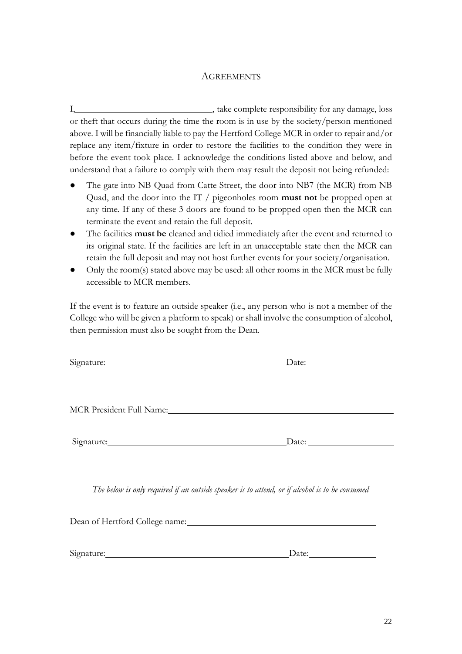# **AGREEMENTS**

I,  $\frac{1}{2}$  , take complete responsibility for any damage, loss or theft that occurs during the time the room is in use by the society/person mentioned above. I will be financially liable to pay the Hertford College MCR in order to repair and/or replace any item/fixture in order to restore the facilities to the condition they were in before the event took place. I acknowledge the conditions listed above and below, and understand that a failure to comply with them may result the deposit not being refunded:

- The gate into NB Quad from Catte Street, the door into NB7 (the MCR) from NB Quad, and the door into the IT / pigeonholes room **must not** be propped open at any time. If any of these 3 doors are found to be propped open then the MCR can terminate the event and retain the full deposit.
- The facilities **must be** cleaned and tidied immediately after the event and returned to its original state. If the facilities are left in an unacceptable state then the MCR can retain the full deposit and may not host further events for your society/organisation.
- Only the room(s) stated above may be used: all other rooms in the MCR must be fully accessible to MCR members.

If the event is to feature an outside speaker (i.e., any person who is not a member of the College who will be given a platform to speak) or shall involve the consumption of alcohol, then permission must also be sought from the Dean.

| Signature: Signature:                                                                                                                                                                                                          |                                                                                                |
|--------------------------------------------------------------------------------------------------------------------------------------------------------------------------------------------------------------------------------|------------------------------------------------------------------------------------------------|
|                                                                                                                                                                                                                                |                                                                                                |
|                                                                                                                                                                                                                                |                                                                                                |
| MCR President Full Name: Manner And The President Full Name:                                                                                                                                                                   |                                                                                                |
|                                                                                                                                                                                                                                |                                                                                                |
|                                                                                                                                                                                                                                | Signature: Date: Date:                                                                         |
|                                                                                                                                                                                                                                |                                                                                                |
|                                                                                                                                                                                                                                |                                                                                                |
|                                                                                                                                                                                                                                | The below is only required if an outside speaker is to attend, or if alcohol is to be consumed |
|                                                                                                                                                                                                                                |                                                                                                |
| Signature: Signature and Signature and Signature and Signature and Signature and Signature and Signature and Signature and Signature and Signature and Signature and Signature and Signature and Signature and Signature and S | Date: $\frac{1}{\sqrt{1-\frac{1}{2}}\cdot\frac{1}{\sqrt{1-\frac{1}{2}}}}$                      |
|                                                                                                                                                                                                                                |                                                                                                |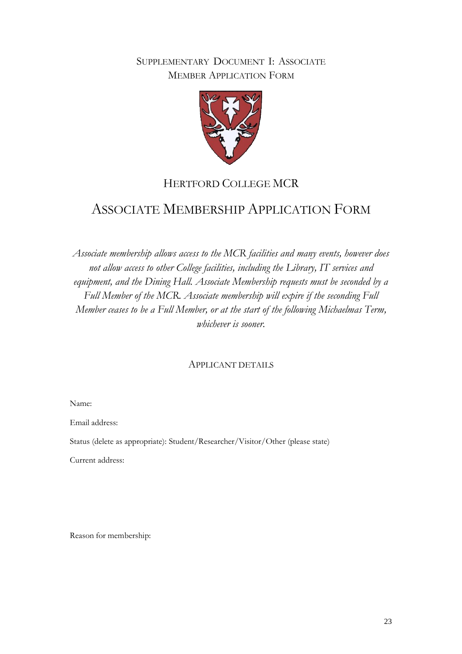# SUPPLEMENTARY DOCUMENT I: ASSOCIATE MEMBER APPLICATION FORM



# HERTFORD COLLEGE MCR

# ASSOCIATE MEMBERSHIP APPLICATION FORM

*Associate membership allows access to the MCR facilities and many events, however does not allow access to other College facilities, including the Library, IT services and equipment, and the Dining Hall. Associate Membership requests must be seconded by a Full Member of the MCR. Associate membership will expire if the seconding Full Member ceases to be a Full Member, or at the start of the following Michaelmas Term, whichever is sooner.*

# APPLICANT DETAILS

Name:

Email address:

Status (delete as appropriate): Student/Researcher/Visitor/Other (please state)

Current address:

Reason for membership: